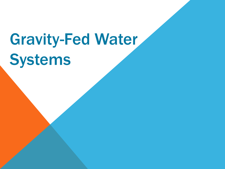# Gravity-Fed Water Systems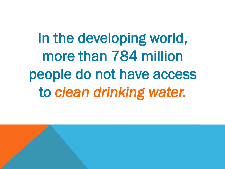In the developing world, more than 784 million people do not have access to *clean drinking water.*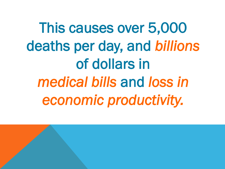This causes over 5,000 deaths per day, and *billions* of dollars in *medical bills* and *loss in economic productivity.*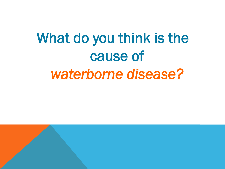## What do you think is the cause of *waterborne disease?*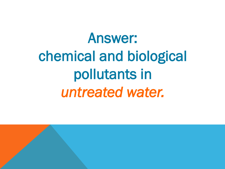# Answer: chemical and biological pollutants in *untreated water.*

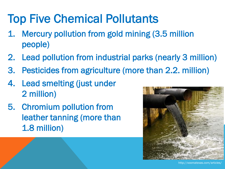### Top Five Chemical Pollutants

- 1. Mercury pollution from gold mining (3.5 million people)
- 2. Lead pollution from industrial parks (nearly 3 million)
- 3. Pesticides from agriculture (more than 2.2. million)
- 4. Lead smelting (just under 2 million)
- 5. Chromium pollution from leather tanning (more than 1.8 million)



http://xoomatexas.com/articles/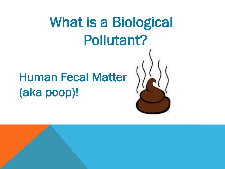## What is a Biological Pollutant?

### Human Fecal Matter (aka poop)!

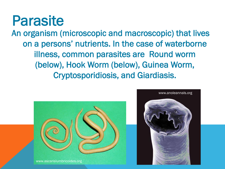### Parasite

An organism (microscopic and macroscopic) that lives on a persons' nutrients. In the case of waterborne illness, common parasites are Round worm (below), Hook Worm (below), Guinea Worm, Cryptosporidiosis, and Giardiasis.



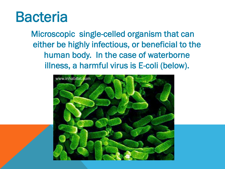### Bacteria

Microscopic single-celled organism that can either be highly infectious, or beneficial to the human body. In the case of waterborne illness, a harmful virus is E-coli (below).

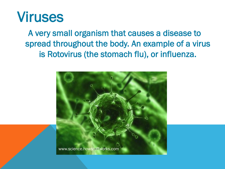

 A very small organism that causes a disease to spread throughout the body. An example of a virus is Rotovirus (the stomach flu), or influenza.

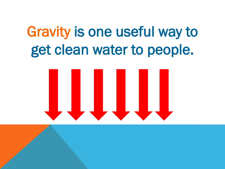## Gravity is one useful way to get clean water to people.

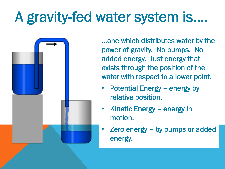## A gravity-fed water system is….

…one which distributes water by the power of gravity. No pumps. No added energy. Just energy that exists through the position of the water with respect to a lower point.

- Potential Energy energy by relative position.
- Kinetic Energy energy in motion.
- Zero energy by pumps or added energy.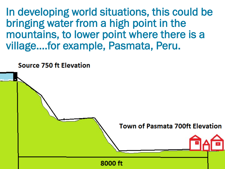In developing world situations, this could be bringing water from a high point in the mountains, to lower point where there is a village….for example, Pasmata, Peru.

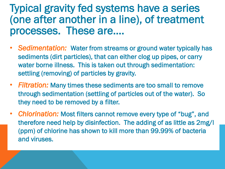#### Typical gravity fed systems have a series (one after another in a line), of treatment processes. These are….

- *Sedimentation:* Water from streams or ground water typically has sediments (dirt particles), that can either clog up pipes, or carry water borne illness. This is taken out through sedimentation: settling (removing) of particles by gravity.
- *Filtration:* Many times these sediments are too small to remove through sedimentation (settling of particles out of the water). So they need to be removed by a filter.
- *Chlorination:* Most filters cannot remove every type of "bug", and therefore need help by disinfection. The adding of as little as 2mg/l (ppm) of chlorine has shown to kill more than 99.99% of bacteria and viruses.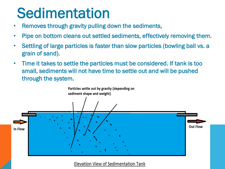### **Sedimentation**

- Removes through gravity pulling down the sediments,
- Pipe on bottom cleans out settled sediments, effectively removing them.
- Settling of large particles is faster than slow particles (bowling ball vs. a grain of sand).
- Time it takes to settle the particles must be considered. If tank is too small, sediments will not have time to settle out and will be pushed through the system.



**Elevation View of Sedimentation Tank**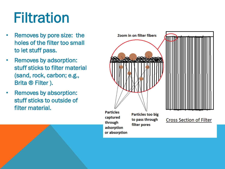## **Filtration**

- Removes by pore size: the holes of the filter too small to let stuff pass.
- Removes by adsorption: stuff sticks to filter material (sand, rock, carbon; e.g., Brita ® Filter ).
- Removes by absorption: stuff sticks to outside of filter material.

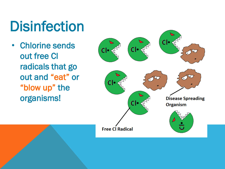## **Disinfection**

• Chlorine sends out free Cl radicals that go out and "eat" or "blow up" the organisms!

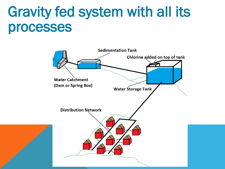### Gravity fed system with all its processes

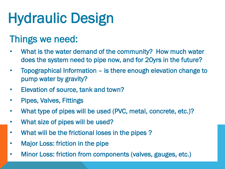# Hydraulic Design

#### Things we need:

- What is the water demand of the community? How much water does the system need to pipe now, and for 20yrs in the future?
- Topographical Information is there enough elevation change to pump water by gravity?
- Elevation of source, tank and town?
- Pipes, Valves, Fittings
- What type of pipes will be used (PVC, metal, concrete, etc.)?
- What size of pipes will be used?
- What will be the frictional loses in the pipes ?
- Major Loss: friction in the pipe
- Minor Loss: friction from components (valves, gauges, etc.)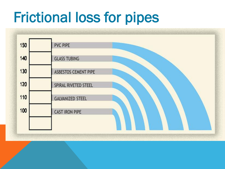### Frictional loss for pipes

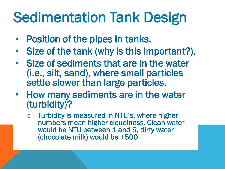## Sedimentation Tank Design

- Position of the pipes in tanks.
- Size of the tank (why is this important?).
- Size of sediments that are in the water (i.e., silt, sand), where small particles settle slower than large particles.
- How many sediments are in the water (turbidity)?
	- o Turbidity is measured in NTU's, where higher numbers mean higher cloudiness. Clean water would be NTU between 1 and 5, dirty water (chocolate milk) would be +500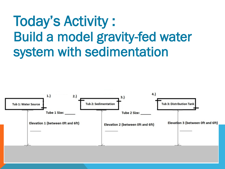### Today's Activity : Build a model gravity-fed water system with sedimentation